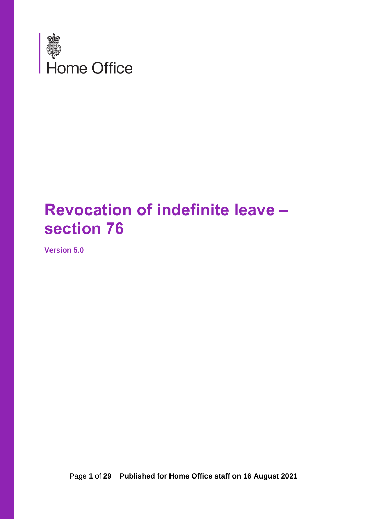

# **Revocation of indefinite leave – section 76**

<span id="page-0-0"></span>**Version 5.0**

Page **1** of **29 Published for Home Office staff on 16 August 2021**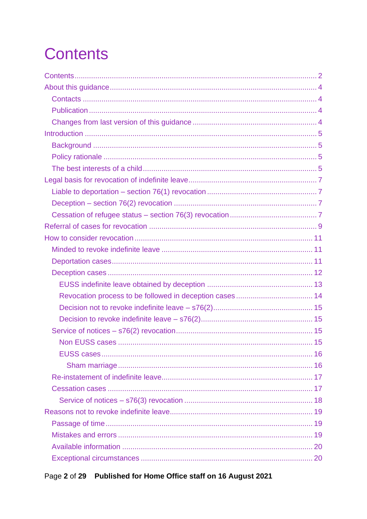# <span id="page-1-0"></span>**Contents**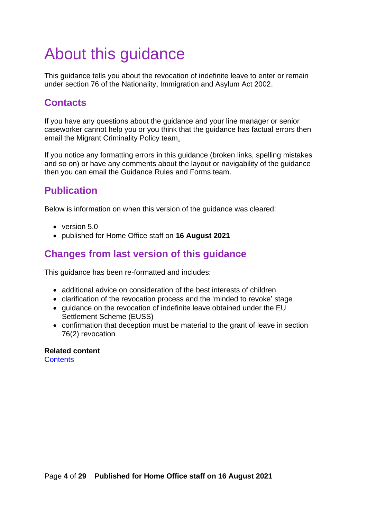# <span id="page-3-0"></span>About this guidance

This guidance tells you about the revocation of indefinite leave to enter or remain under section 76 of the Nationality, Immigration and Asylum Act 2002.

## <span id="page-3-1"></span>**Contacts**

If you have any questions about the guidance and your line manager or senior caseworker cannot help you or you think that the guidance has factual errors then [email the Migrant Criminality Policy team.](mailto:CriminalityPolicyGuidanceQueries@homeoffice.gsi.gov.uk)

If you notice any formatting errors in this guidance (broken links, spelling mistakes and so on) or have any comments about the layout or navigability of the guidance then you can email the Guidance Rules and Forms team.

## <span id="page-3-2"></span>**Publication**

Below is information on when this version of the guidance was cleared:

- version 5.0
- published for Home Office staff on **16 August 2021**

## <span id="page-3-3"></span>**Changes from last version of this guidance**

This guidance has been re-formatted and includes:

- additional advice on consideration of the best interests of children
- clarification of the revocation process and the 'minded to revoke' stage
- guidance on the revocation of indefinite leave obtained under the EU Settlement Scheme (EUSS)
- confirmation that deception must be material to the grant of leave in section 76(2) revocation

#### **Related content**

**[Contents](#page-1-0)**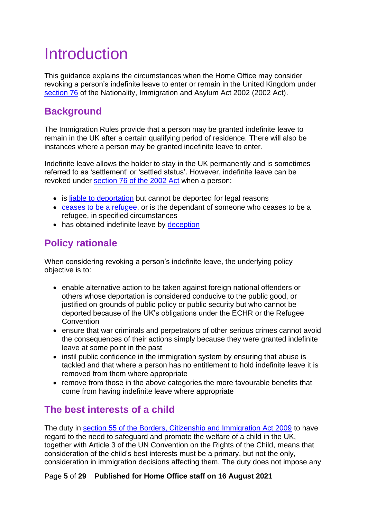# <span id="page-4-0"></span>Introduction

This guidance explains the circumstances when the Home Office may consider revoking a person's indefinite leave to enter or remain in the United Kingdom under [section 76](http://www.legislation.gov.uk/ukpga/2002/41/section/76) of the Nationality, Immigration and Asylum Act 2002 (2002 Act).

# <span id="page-4-1"></span>**Background**

The Immigration Rules provide that a person may be granted indefinite leave to remain in the UK after a certain qualifying period of residence. There will also be instances where a person may be granted indefinite leave to enter.

Indefinite leave allows the holder to stay in the UK permanently and is sometimes referred to as 'settlement' or 'settled status'. However, indefinite leave can be revoked under [section 76 of the 2002 Act](http://www.legislation.gov.uk/ukpga/2002/41/section/76) when a person:

- is [liable to deportation](#page-6-1) but cannot be deported for legal reasons
- [ceases to be a refugee,](#page-6-3) or is the dependant of someone who ceases to be a refugee, in specified circumstances
- has obtained indefinite leave by deception

# <span id="page-4-2"></span>**Policy rationale**

When considering revoking a person's indefinite leave, the underlying policy objective is to:

- enable alternative action to be taken against foreign national offenders or others whose deportation is considered conducive to the public good, or justified on grounds of public policy or public security but who cannot be deported because of the UK's obligations under the ECHR or the Refugee **Convention**
- ensure that war criminals and perpetrators of other serious crimes cannot avoid the consequences of their actions simply because they were granted indefinite leave at some point in the past
- instil public confidence in the immigration system by ensuring that abuse is tackled and that where a person has no entitlement to hold indefinite leave it is removed from them where appropriate
- remove from those in the above categories the more favourable benefits that come from having indefinite leave where appropriate

# <span id="page-4-3"></span>**The best interests of a child**

The duty in [section 55 of the Borders, Citizenship and Immigration Act 2009](http://www.legislation.gov.uk/ukpga/2009/11/section/55) to have regard to the need to safeguard and promote the welfare of a child in the UK, together with Article 3 of the UN Convention on the Rights of the Child, means that consideration of the child's best interests must be a primary, but not the only, consideration in immigration decisions affecting them. The duty does not impose any

#### Page **5** of **29 Published for Home Office staff on 16 August 2021**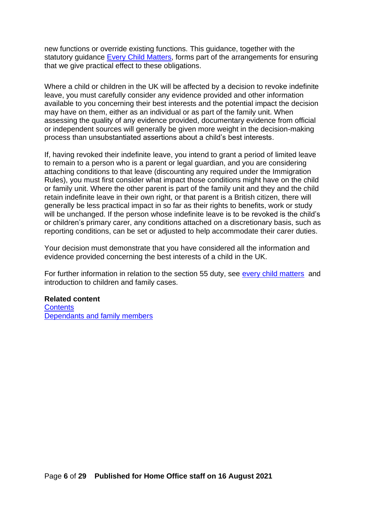new functions or override existing functions. This guidance, together with the statutory guidance [Every Child Matters,](https://www.gov.uk/government/publications/every-child-matters-statutory-guidance) forms part of the arrangements for ensuring that we give practical effect to these obligations.

Where a child or children in the UK will be affected by a decision to revoke indefinite leave, you must carefully consider any evidence provided and other information available to you concerning their best interests and the potential impact the decision may have on them, either as an individual or as part of the family unit. When assessing the quality of any evidence provided, documentary evidence from official or independent sources will generally be given more weight in the decision-making process than unsubstantiated assertions about a child's best interests.

If, having revoked their indefinite leave, you intend to grant a period of limited leave to remain to a person who is a parent or legal guardian, and you are considering attaching conditions to that leave (discounting any required under the Immigration Rules), you must first consider what impact those conditions might have on the child or family unit. Where the other parent is part of the family unit and they and the child retain indefinite leave in their own right, or that parent is a British citizen, there will generally be less practical impact in so far as their rights to benefits, work or study will be unchanged. If the person whose indefinite leave is to be revoked is the child's or children's primary carer, any conditions attached on a discretionary basis, such as reporting conditions, can be set or adjusted to help accommodate their carer duties.

Your decision must demonstrate that you have considered all the information and evidence provided concerning the best interests of a child in the UK.

For further information in relation to the section 55 duty, see [every child matters](https://www.gov.uk/government/publications/every-child-matters-statutory-guidance) and introduction to children and family cases.

#### **Related content**

**[Contents](#page-1-0)** [Dependants and family members](#page-24-0)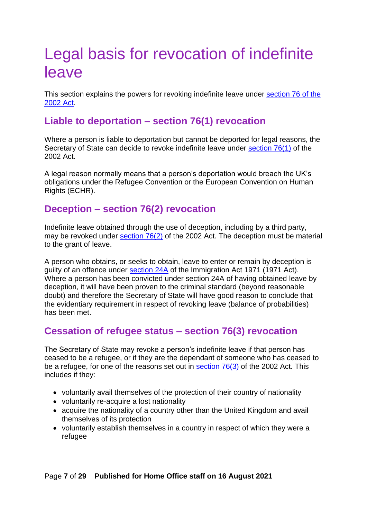# <span id="page-6-0"></span>Legal basis for revocation of indefinite leave

This section explains the powers for revoking indefinite leave under [section 76 of the](http://www.legislation.gov.uk/ukpga/2002/41/section/76)  [2002 Act.](http://www.legislation.gov.uk/ukpga/2002/41/section/76)

## <span id="page-6-1"></span>**Liable to deportation – section 76(1) revocation**

Where a person is liable to deportation but cannot be deported for legal reasons, the Secretary of State can decide to revoke indefinite leave under [section 76\(1\)](http://www.legislation.gov.uk/ukpga/2002/41/section/76) of the 2002 Act.

A legal reason normally means that a person's deportation would breach the UK's obligations under the Refugee Convention or the European Convention on Human Rights (ECHR).

## <span id="page-6-2"></span>**Deception – section 76(2) revocation**

Indefinite leave obtained through the use of deception, including by a third party, may be revoked under [section 76\(2\)](http://www.legislation.gov.uk/ukpga/2002/41/section/76) of the 2002 Act. The deception must be material to the grant of leave.

A person who obtains, or seeks to obtain, leave to enter or remain by deception is guilty of an offence under [section 24A](http://www.legislation.gov.uk/ukpga/1971/77/section/24A) of the Immigration Act 1971 (1971 Act). Where a person has been convicted under section 24A of having obtained leave by deception, it will have been proven to the criminal standard (beyond reasonable doubt) and therefore the Secretary of State will have good reason to conclude that the evidentiary requirement in respect of revoking leave (balance of probabilities) has been met.

## <span id="page-6-3"></span>**Cessation of refugee status – section 76(3) revocation**

The Secretary of State may revoke a person's indefinite leave if that person has ceased to be a refugee, or if they are the dependant of someone who has ceased to be a refugee, for one of the reasons set out in [section 76\(3\)](http://www.legislation.gov.uk/ukpga/2002/41/section/76) of the 2002 Act. This includes if they:

- voluntarily avail themselves of the protection of their country of nationality
- voluntarily re-acquire a lost nationality
- acquire the nationality of a country other than the United Kingdom and avail themselves of its protection
- voluntarily establish themselves in a country in respect of which they were a refugee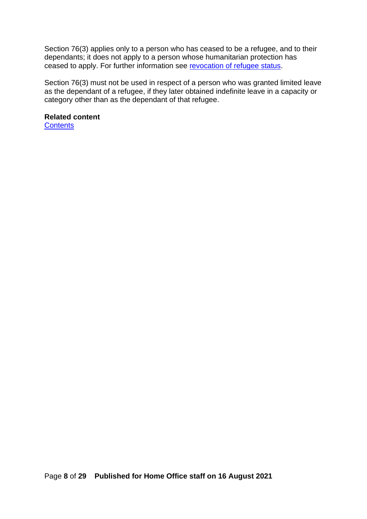Section 76(3) applies only to a person who has ceased to be a refugee, and to their dependants; it does not apply to a person whose humanitarian protection has ceased to apply. For further information see [revocation of refugee status.](https://www.gov.uk/government/publications/canceling-ceasing-and-revoking-refugee-status-process)

Section 76(3) must not be used in respect of a person who was granted limited leave as the dependant of a refugee, if they later obtained indefinite leave in a capacity or category other than as the dependant of that refugee.

#### **Related content**

<span id="page-7-0"></span>**[Contents](#page-1-0)**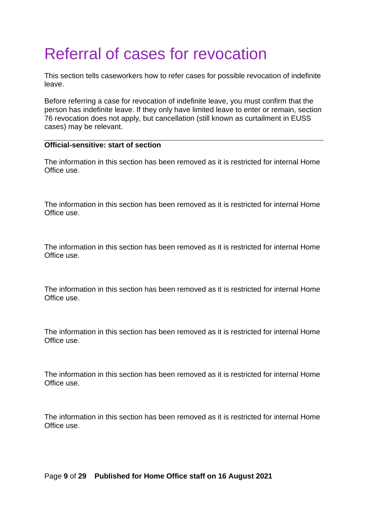# <span id="page-8-0"></span>Referral of cases for revocation

This section tells caseworkers how to refer cases for possible revocation of indefinite leave.

Before referring a case for revocation of indefinite leave, you must confirm that the person has indefinite leave. If they only have limited leave to enter or remain, section 76 revocation does not apply, but cancellation (still known as curtailment in EUSS cases) may be relevant.

#### **Official-sensitive: start of section**

The information in this section has been removed as it is restricted for internal Home Office use.

The information in this section has been removed as it is restricted for internal Home Office use.

The information in this section has been removed as it is restricted for internal Home Office use.

The information in this section has been removed as it is restricted for internal Home Office use.

The information in this section has been removed as it is restricted for internal Home Office use.

The information in this section has been removed as it is restricted for internal Home Office use.

The information in this section has been removed as it is restricted for internal Home Office use.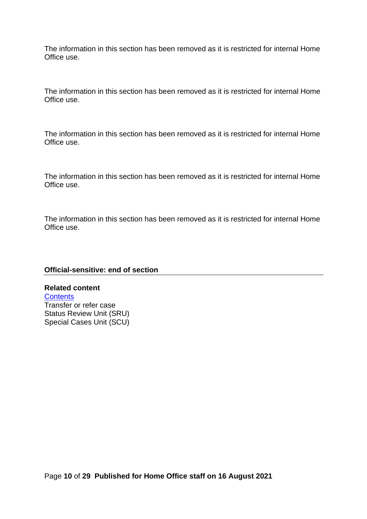The information in this section has been removed as it is restricted for internal Home Office use.

The information in this section has been removed as it is restricted for internal Home Office use.

The information in this section has been removed as it is restricted for internal Home Office use.

The information in this section has been removed as it is restricted for internal Home Office use.

The information in this section has been removed as it is restricted for internal Home Office use.

#### **Official-sensitive: end of section**

**Related content [Contents](#page-0-0)** Transfer or refer case Status Review Unit (SRU) Special Cases Unit (SCU)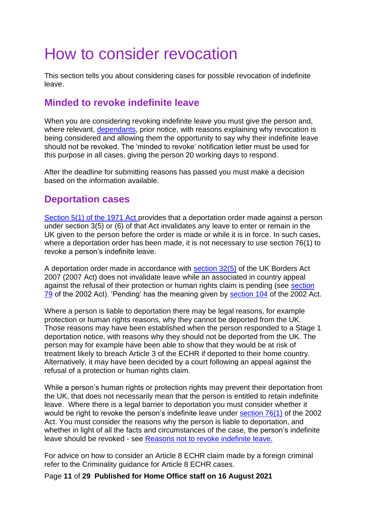# <span id="page-10-0"></span>How to consider revocation

This section tells you about considering cases for possible revocation of indefinite leave.

## <span id="page-10-1"></span>**Minded to revoke indefinite leave**

When you are considering revoking indefinite leave you must give the person and, where relevant, [dependants,](#page-24-0) prior notice, with reasons explaining why revocation is being considered and allowing them the opportunity to say why their indefinite leave should not be revoked. The 'minded to revoke' notification letter must be used for this purpose in all cases, giving the person 20 working days to respond.

After the deadline for submitting reasons has passed you must make a decision based on the information available.

## <span id="page-10-2"></span>**Deportation cases**

[Section 5\(1\) of the 1971 Act p](https://www.legislation.gov.uk/ukpga/1971/77/section/5)rovides that a deportation order made against a person under section 3(5) or (6) of that Act invalidates any leave to enter or remain in the UK given to the person before the order is made or while it is in force. In such cases, where a deportation order has been made, it is not necessary to use section 76(1) to revoke a person's indefinite leave.

A deportation order made in accordance with [section 32\(5\)](https://www.legislation.gov.uk/ukpga/2007/30/section/32) of the UK Borders Act 2007 (2007 Act) does not invalidate leave while an associated in country appeal against the refusal of their protection or human rights claim is pending (see section [79](http://www.legislation.gov.uk/ukpga/2002/41/section/79) of the 2002 Act). 'Pending' has the meaning given by [section 104](https://www.legislation.gov.uk/ukpga/2002/41/section/104) of the 2002 Act.

Where a person is liable to deportation there may be legal reasons, for example protection or human rights reasons, why they cannot be deported from the UK. Those reasons may have been established when the person responded to a Stage 1 deportation notice, with reasons why they should not be deported from the UK. The person may for example have been able to show that they would be at risk of treatment likely to breach Article 3 of the ECHR if deported to their home country. Alternatively, it may have been decided by a court following an appeal against the refusal of a protection or human rights claim.

While a person's human rights or protection rights may prevent their deportation from the UK, that does not necessarily mean that the person is entitled to retain indefinite leave. Where there is a legal barrier to deportation you must consider whether it would be right to revoke the person's indefinite leave under section 76(1) of the 2002 Act. You must consider the reasons why the person is liable to deportation, and whether in light of all the facts and circumstances of the case, the person's indefinite leave should be revoked - see Reasons not to revoke indefinite leave.

For advice on how to consider an Article 8 ECHR claim made by a foreign criminal refer to the Criminality guidance for Article 8 ECHR cases.

Page **11** of **29 Published for Home Office staff on 16 August 2021**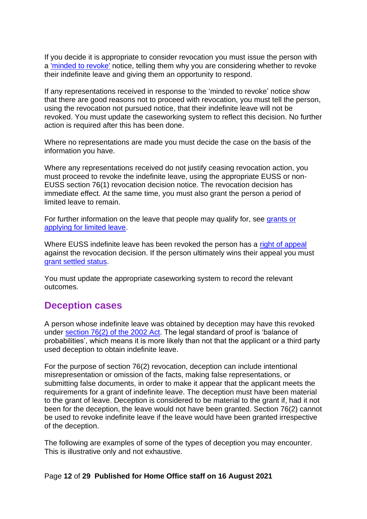If you decide it is appropriate to consider revocation you must issue the person with a ['minded to revoke'](#page-10-1) notice, telling them why you are considering whether to revoke their indefinite leave and giving them an opportunity to respond.

If any representations received in response to the 'minded to revoke' notice show that there are good reasons not to proceed with revocation, you must tell the person, using the revocation not pursued notice, that their indefinite leave will not be revoked. You must update the caseworking system to reflect this decision. No further action is required after this has been done.

Where no representations are made you must decide the case on the basis of the information you have.

Where any representations received do not justify ceasing revocation action, you must proceed to revoke the indefinite leave, using the appropriate EUSS or non-EUSS section 76(1) revocation decision notice. The revocation decision has immediate effect. At the same time, you must also grant the person a period of limited leave to remain.

For further information on the leave that people may qualify for, see [grants or](#page-27-0)  [applying for limited leave.](#page-27-0)

Where EUSS indefinite leave has been revoked the person has a [right of appeal](#page-26-1) against the revocation decision. If the person ultimately wins their appeal you must [grant settled status.](#page-16-0)

You must update the appropriate caseworking system to record the relevant outcomes.

### <span id="page-11-0"></span>**Deception cases**

A person whose indefinite leave was obtained by deception may have this revoked under [section 76\(2\) of the 2002 Act.](http://www.legislation.gov.uk/ukpga/2002/41/section/76) The legal standard of proof is 'balance of probabilities', which means it is more likely than not that the applicant or a third party used deception to obtain indefinite leave.

For the purpose of section 76(2) revocation, deception can include intentional misrepresentation or omission of the facts, making false representations, or submitting false documents, in order to make it appear that the applicant meets the requirements for a grant of indefinite leave. The deception must have been material to the grant of leave. Deception is considered to be material to the grant if, had it not been for the deception, the leave would not have been granted. Section 76(2) cannot be used to revoke indefinite leave if the leave would have been granted irrespective of the deception.

The following are examples of some of the types of deception you may encounter. This is illustrative only and not exhaustive.

#### Page **12** of **29 Published for Home Office staff on 16 August 2021**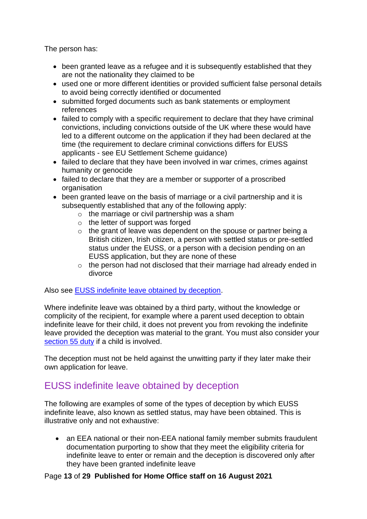The person has:

- been granted leave as a refugee and it is subsequently established that they are not the nationality they claimed to be
- used one or more different identities or provided sufficient false personal details to avoid being correctly identified or documented
- submitted forged documents such as bank statements or employment references
- failed to comply with a specific requirement to declare that they have criminal convictions, including convictions outside of the UK where these would have led to a different outcome on the application if they had been declared at the time (the requirement to declare criminal convictions differs for EUSS applicants - see EU Settlement Scheme guidance)
- failed to declare that they have been involved in war crimes, crimes against humanity or genocide
- failed to declare that they are a member or supporter of a proscribed organisation
- been granted leave on the basis of marriage or a civil partnership and it is subsequently established that any of the following apply:
	- $\circ$  the marriage or civil partnership was a sham
	- o the letter of support was forged
	- $\circ$  the grant of leave was dependent on the spouse or partner being a British citizen, Irish citizen, a person with settled status or pre-settled status under the EUSS, or a person with a decision pending on an EUSS application, but they are none of these
	- $\circ$  the person had not disclosed that their marriage had already ended in divorce

Also see [EUSS indefinite leave obtained by deception.](#page-12-0)

Where indefinite leave was obtained by a third party, without the knowledge or complicity of the recipient, for example where a parent used deception to obtain indefinite leave for their child, it does not prevent you from revoking the indefinite leave provided the deception was material to the grant. You must also consider your [section 55 duty](#page-4-3) if a child is involved.

The deception must not be held against the unwitting party if they later make their own application for leave.

## <span id="page-12-0"></span>EUSS indefinite leave obtained by deception

The following are examples of some of the types of deception by which EUSS indefinite leave, also known as settled status, may have been obtained. This is illustrative only and not exhaustive:

• an EEA national or their non-EEA national family member submits fraudulent documentation purporting to show that they meet the eligibility criteria for indefinite leave to enter or remain and the deception is discovered only after they have been granted indefinite leave

#### Page **13** of **29 Published for Home Office staff on 16 August 2021**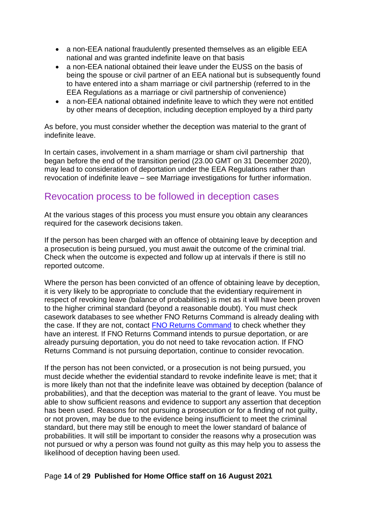- a non-EEA national fraudulently presented themselves as an eligible EEA national and was granted indefinite leave on that basis
- a non-EEA national obtained their leave under the EUSS on the basis of being the spouse or civil partner of an EEA national but is subsequently found to have entered into a sham marriage or civil partnership (referred to in the EEA Regulations as a marriage or civil partnership of convenience)
- a non-EEA national obtained indefinite leave to which they were not entitled by other means of deception, including deception employed by a third party

As before, you must consider whether the deception was material to the grant of indefinite leave.

In certain cases, involvement in a sham marriage or sham civil partnership that began before the end of the transition period (23.00 GMT on 31 December 2020), may lead to consideration of deportation under the EEA Regulations rather than revocation of indefinite leave – see Marriage investigations for further information.

### <span id="page-13-0"></span>Revocation process to be followed in deception cases

At the various stages of this process you must ensure you obtain any clearances required for the casework decisions taken.

If the person has been charged with an offence of obtaining leave by deception and a prosecution is being pursued, you must await the outcome of the criminal trial. Check when the outcome is expected and follow up at intervals if there is still no reported outcome.

Where the person has been convicted of an offence of obtaining leave by deception, it is very likely to be appropriate to conclude that the evidentiary requirement in respect of revoking leave (balance of probabilities) is met as it will have been proven to the higher criminal standard (beyond a reasonable doubt). You must check casework databases to see whether FNO Returns Command is already dealing with the case. If they are not, contact [FNO Returns Command](#page-7-0) to check whether they have an interest. If FNO Returns Command intends to pursue deportation, or are already pursuing deportation, you do not need to take revocation action. If FNO Returns Command is not pursuing deportation, continue to consider revocation.

If the person has not been convicted, or a prosecution is not being pursued, you must decide whether the evidential standard to revoke indefinite leave is met; that it is more likely than not that the indefinite leave was obtained by deception (balance of probabilities), and that the deception was material to the grant of leave. You must be able to show sufficient reasons and evidence to support any assertion that deception has been used. Reasons for not pursuing a prosecution or for a finding of not guilty, or not proven, may be due to the evidence being insufficient to meet the criminal standard, but there may still be enough to meet the lower standard of balance of probabilities. It will still be important to consider the reasons why a prosecution was not pursued or why a person was found not guilty as this may help you to assess the likelihood of deception having been used.

#### Page **14** of **29 Published for Home Office staff on 16 August 2021**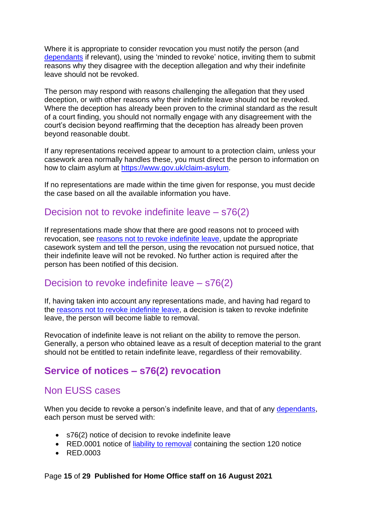Where it is appropriate to consider revocation you must notify the person (and [dependants](#page-24-0) if relevant), using the 'minded to revoke' notice, inviting them to submit reasons why they disagree with the deception allegation and why their indefinite leave should not be revoked.

The person may respond with reasons challenging the allegation that they used deception, or with other reasons why their indefinite leave should not be revoked. Where the deception has already been proven to the criminal standard as the result of a court finding, you should not normally engage with any disagreement with the court's decision beyond reaffirming that the deception has already been proven beyond reasonable doubt.

If any representations received appear to amount to a protection claim, unless your casework area normally handles these, you must direct the person to information on how to claim asylum at [https://www.gov.uk/claim-asylum.](https://www.gov.uk/claim-asylum)

If no representations are made within the time given for response, you must decide the case based on all the available information you have.

### <span id="page-14-0"></span>Decision not to revoke indefinite leave – s76(2)

If representations made show that there are good reasons not to proceed with revocation, see [reasons not to revoke indefinite leave,](#page-18-0) update the appropriate casework system and tell the person, using the revocation not pursued notice, that their indefinite leave will not be revoked. No further action is required after the person has been notified of this decision.

### <span id="page-14-1"></span>Decision to revoke indefinite leave – s76(2)

If, having taken into account any representations made, and having had regard to the [reasons not to revoke indefinite leave,](#page-18-0) a decision is taken to revoke indefinite leave, the person will become liable to removal.

Revocation of indefinite leave is not reliant on the ability to remove the person. Generally, a person who obtained leave as a result of deception material to the grant should not be entitled to retain indefinite leave, regardless of their removability.

## <span id="page-14-2"></span>**Service of notices – s76(2) revocation**

### <span id="page-14-3"></span>Non EUSS cases

When you decide to revoke a person's indefinite leave, and that of any [dependants,](#page-24-0) each person must be served with:

- s76(2) notice of decision to revoke indefinite leave
- RED.0001 notice of [liability to removal](#page-22-0) containing the section 120 notice
- RED.0003

#### Page **15** of **29 Published for Home Office staff on 16 August 2021**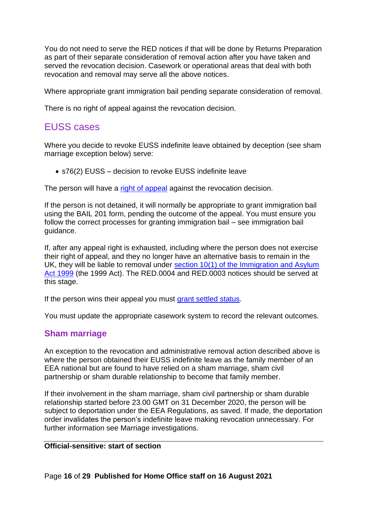You do not need to serve the RED notices if that will be done by Returns Preparation as part of their separate consideration of removal action after you have taken and served the revocation decision. Casework or operational areas that deal with both revocation and removal may serve all the above notices.

Where appropriate grant immigration bail pending separate consideration of removal.

There is no right of appeal against the revocation decision.

## <span id="page-15-0"></span>EUSS cases

Where you decide to revoke EUSS indefinite leave obtained by deception (see sham marriage exception below) serve:

• s76(2) EUSS – decision to revoke EUSS indefinite leave

The person will have a [right of appeal](#page-26-1) against the revocation decision.

If the person is not detained, it will normally be appropriate to grant immigration bail using the BAIL 201 form, pending the outcome of the appeal. You must ensure you follow the correct processes for granting immigration bail – see immigration bail guidance.

If, after any appeal right is exhausted, including where the person does not exercise their right of appeal, and they no longer have an alternative basis to remain in the UK, they will be liable to removal under section 10(1) of the Immigration and Asylum [Act 1999](http://www.legislation.gov.uk/ukpga/1999/33/section/10) (the 1999 Act). The RED.0004 and RED.0003 notices should be served at this stage.

If the person wins their appeal you must [grant settled status.](#page-16-0)

You must update the appropriate casework system to record the relevant outcomes.

#### <span id="page-15-1"></span>**Sham marriage**

An exception to the revocation and administrative removal action described above is where the person obtained their EUSS indefinite leave as the family member of an EEA national but are found to have relied on a sham marriage, sham civil partnership or sham durable relationship to become that family member.

If their involvement in the sham marriage, sham civil partnership or sham durable relationship started before 23.00 GMT on 31 December 2020, the person will be subject to deportation under the EEA Regulations, as saved. If made, the deportation order invalidates the person's indefinite leave making revocation unnecessary. For further information see Marriage investigations.

#### **Official-sensitive: start of section**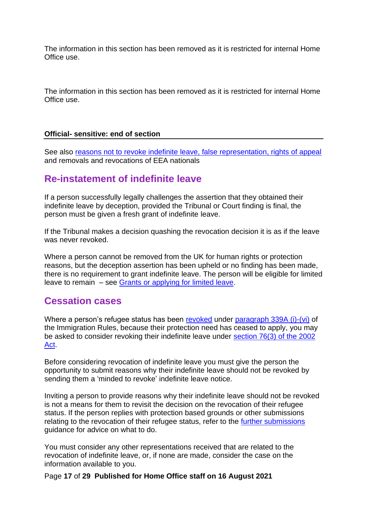The information in this section has been removed as it is restricted for internal Home Office use.

The information in this section has been removed as it is restricted for internal Home Office use.

#### **Official- sensitive: end of section**

See also [reasons not to revoke indefinite leave,](#page-18-0) [false representation,](https://assets.publishing.service.gov.uk/government/uploads/system/uploads/attachment_data/file/837104/false-representation-v1.0ext.pdf) [rights of appeal](https://horizon.homeoffice.gov.uk/file-wrapper/current-rights-appeal-0) and removals and revocations of EEA nationals

## <span id="page-16-0"></span>**Re-instatement of indefinite leave**

If a person successfully legally challenges the assertion that they obtained their indefinite leave by deception, provided the Tribunal or Court finding is final, the person must be given a fresh grant of indefinite leave.

If the Tribunal makes a decision quashing the revocation decision it is as if the leave was never revoked.

Where a person cannot be removed from the UK for human rights or protection reasons, but the deception assertion has been upheld or no finding has been made, there is no requirement to grant indefinite leave. The person will be eligible for limited leave to remain – see [Grants or applying for limited leave.](#page-27-0)

### <span id="page-16-1"></span>**Cessation cases**

Where a person's refugee status has been revoked under [paragraph 339A \(i\)-\(vi\)](https://www.gov.uk/guidance/immigration-rules/immigration-rules-part-11-asylum) of the Immigration Rules, because their protection need has ceased to apply, you may be asked to consider revoking their indefinite leave under [section 76\(3\) of the 2002](http://www.legislation.gov.uk/ukpga/2002/41/section/76)  [Act.](http://www.legislation.gov.uk/ukpga/2002/41/section/76)

Before considering revocation of indefinite leave you must give the person the opportunity to submit reasons why their indefinite leave should not be revoked by sending them a 'minded to revoke' indefinite leave notice.

Inviting a person to provide reasons why their indefinite leave should not be revoked is not a means for them to revisit the decision on the revocation of their refugee status. If the person replies with protection based grounds or other submissions relating to the revocation of their refugee status, refer to the [further submissions](https://www.gov.uk/government/publications/further-submissions) guidance for advice on what to do.

You must consider any other representations received that are related to the revocation of indefinite leave, or, if none are made, consider the case on the information available to you.

Page **17** of **29 Published for Home Office staff on 16 August 2021**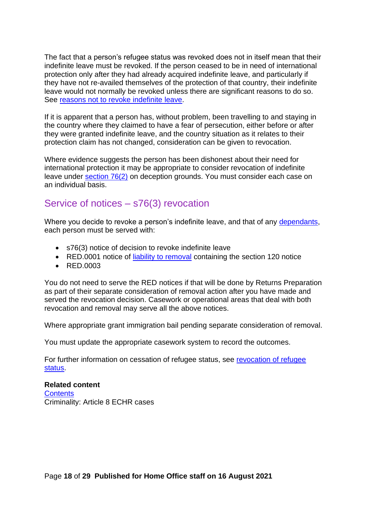The fact that a person's refugee status was revoked does not in itself mean that their indefinite leave must be revoked. If the person ceased to be in need of international protection only after they had already acquired indefinite leave, and particularly if they have not re-availed themselves of the protection of that country, their indefinite leave would not normally be revoked unless there are significant reasons to do so. See reasons not to revoke indefinite leave.

If it is apparent that a person has, without problem, been travelling to and staying in the country where they claimed to have a fear of persecution, either before or after they were granted indefinite leave, and the country situation as it relates to their protection claim has not changed, consideration can be given to revocation.

Where evidence suggests the person has been dishonest about their need for international protection it may be appropriate to consider revocation of indefinite leave under [section 76\(2\)](#page-11-0) on deception grounds. You must consider each case on an individual basis.

### <span id="page-17-0"></span>Service of notices – s76(3) revocation

Where you decide to revoke a person's indefinite leave, and that of any [dependants,](#page-24-0) each person must be served with:

- s76(3) notice of decision to revoke indefinite leave
- RED.0001 notice of [liability to removal](#page-22-0) containing the section 120 notice
- RED.0003

You do not need to serve the RED notices if that will be done by Returns Preparation as part of their separate consideration of removal action after you have made and served the revocation decision. Casework or operational areas that deal with both revocation and removal may serve all the above notices.

Where appropriate grant immigration bail pending separate consideration of removal.

You must update the appropriate casework system to record the outcomes.

For further information on cessation of refugee status, see [revocation of refugee](https://www.gov.uk/government/publications/canceling-ceasing-and-revoking-refugee-status-process)  [status.](https://www.gov.uk/government/publications/canceling-ceasing-and-revoking-refugee-status-process)

#### **Related content**

**[Contents](#page-0-0)** Criminality: Article 8 ECHR cases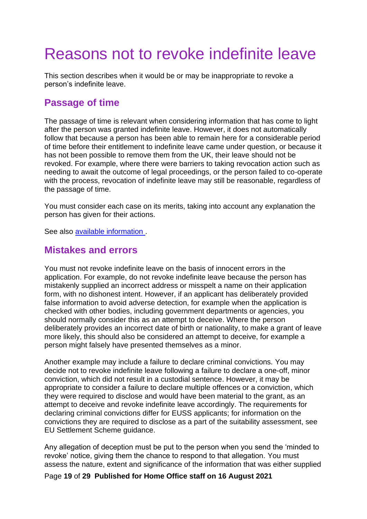# <span id="page-18-0"></span>Reasons not to revoke indefinite leave

This section describes when it would be or may be inappropriate to revoke a person's indefinite leave.

### <span id="page-18-1"></span>**Passage of time**

The passage of time is relevant when considering information that has come to light after the person was granted indefinite leave. However, it does not automatically follow that because a person has been able to remain here for a considerable period of time before their entitlement to indefinite leave came under question, or because it has not been possible to remove them from the UK, their leave should not be revoked. For example, where there were barriers to taking revocation action such as needing to await the outcome of legal proceedings, or the person failed to co-operate with the process, revocation of indefinite leave may still be reasonable, regardless of the passage of time.

You must consider each case on its merits, taking into account any explanation the person has given for their actions.

See also available information .

#### <span id="page-18-2"></span>**Mistakes and errors**

You must not revoke indefinite leave on the basis of innocent errors in the application. For example, do not revoke indefinite leave because the person has mistakenly supplied an incorrect address or misspelt a name on their application form, with no dishonest intent. However, if an applicant has deliberately provided false information to avoid adverse detection, for example when the application is checked with other bodies, including government departments or agencies, you should normally consider this as an attempt to deceive. Where the person deliberately provides an incorrect date of birth or nationality, to make a grant of leave more likely, this should also be considered an attempt to deceive, for example a person might falsely have presented themselves as a minor.

Another example may include a failure to declare criminal convictions. You may decide not to revoke indefinite leave following a failure to declare a one-off, minor conviction, which did not result in a custodial sentence. However, it may be appropriate to consider a failure to declare multiple offences or a conviction, which they were required to disclose and would have been material to the grant, as an attempt to deceive and revoke indefinite leave accordingly. The requirements for declaring criminal convictions differ for EUSS applicants; for information on the convictions they are required to disclose as a part of the suitability assessment, see EU Settlement Scheme guidance.

Any allegation of deception must be put to the person when you send the 'minded to revoke' notice, giving them the chance to respond to that allegation. You must assess the nature, extent and significance of the information that was either supplied

Page **19** of **29 Published for Home Office staff on 16 August 2021**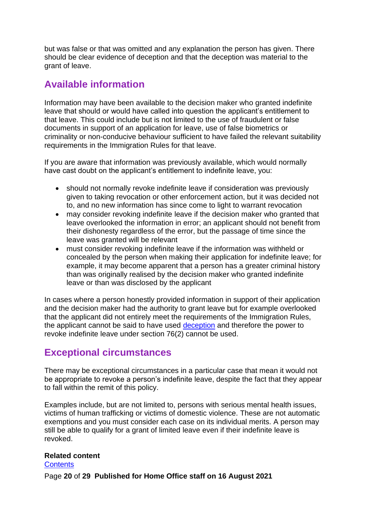but was false or that was omitted and any explanation the person has given. There should be clear evidence of deception and that the deception was material to the grant of leave.

## <span id="page-19-0"></span>**Available information**

Information may have been available to the decision maker who granted indefinite leave that should or would have called into question the applicant's entitlement to that leave. This could include but is not limited to the use of fraudulent or false documents in support of an application for leave, use of false biometrics or criminality or non-conducive behaviour sufficient to have failed the relevant suitability requirements in the Immigration Rules for that leave.

If you are aware that information was previously available, which would normally have cast doubt on the applicant's entitlement to indefinite leave, you:

- should not normally revoke indefinite leave if consideration was previously given to taking revocation or other enforcement action, but it was decided not to, and no new information has since come to light to warrant revocation
- may consider revoking indefinite leave if the decision maker who granted that leave overlooked the information in error; an applicant should not benefit from their dishonesty regardless of the error, but the passage of time since the leave was granted will be relevant
- must consider revoking indefinite leave if the information was withheld or concealed by the person when making their application for indefinite leave; for example, it may become apparent that a person has a greater criminal history than was originally realised by the decision maker who granted indefinite leave or than was disclosed by the applicant

In cases where a person honestly provided information in support of their application and the decision maker had the authority to grant leave but for example overlooked that the applicant did not entirely meet the requirements of the Immigration Rules, the applicant cannot be said to have used [deception](#page-11-0) and therefore the power to revoke indefinite leave under section 76(2) cannot be used.

## <span id="page-19-1"></span>**Exceptional circumstances**

There may be exceptional circumstances in a particular case that mean it would not be appropriate to revoke a person's indefinite leave, despite the fact that they appear to fall within the remit of this policy.

Examples include, but are not limited to, persons with serious mental health issues, victims of human trafficking or victims of domestic violence. These are not automatic exemptions and you must consider each case on its individual merits. A person may still be able to qualify for a grant of limited leave even if their indefinite leave is revoked.

#### **Related content**

**[Contents](#page-0-0)** 

Page **20** of **29 Published for Home Office staff on 16 August 2021**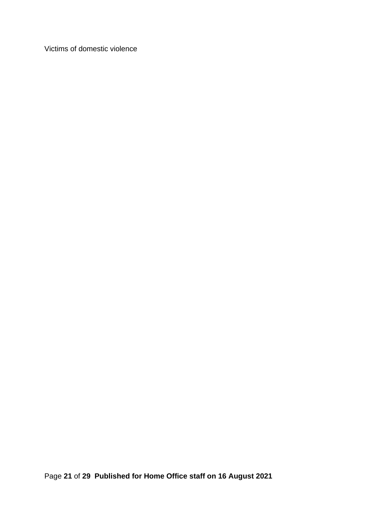Victims of domestic violence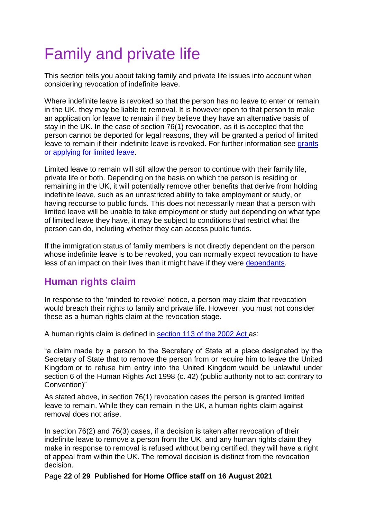# <span id="page-21-0"></span>Family and private life

This section tells you about taking family and private life issues into account when considering revocation of indefinite leave.

Where indefinite leave is revoked so that the person has no leave to enter or remain in the UK, they may be liable to removal. It is however open to that person to make an application for leave to remain if they believe they have an alternative basis of stay in the UK. In the case of section 76(1) revocation, as it is accepted that the person cannot be deported for legal reasons, they will be granted a period of limited leave to remain if their indefinite leave is revoked. For further information see grants [or applying for limited leave.](#page-27-0)

Limited leave to remain will still allow the person to continue with their family life, private life or both. Depending on the basis on which the person is residing or remaining in the UK, it will potentially remove other benefits that derive from holding indefinite leave, such as an unrestricted ability to take employment or study, or having recourse to public funds. This does not necessarily mean that a person with limited leave will be unable to take employment or study but depending on what type of limited leave they have, it may be subject to conditions that restrict what the person can do, including whether they can access public funds.

If the immigration status of family members is not directly dependent on the person whose indefinite leave is to be revoked, you can normally expect revocation to have less of an impact on their lives than it might have if they were dependants.

## <span id="page-21-1"></span>**Human rights claim**

In response to the 'minded to revoke' notice, a person may claim that revocation would breach their rights to family and private life. However, you must not consider these as a human rights claim at the revocation stage.

A human rights claim is defined in [section 113 of the 2002 Act a](https://www.legislation.gov.uk/ukpga/2002/41/section/113)s:

"a claim made by a person to the Secretary of State at a place designated by the Secretary of State that to remove the person from or require him to leave the United Kingdom or to refuse him entry into the United Kingdom would be unlawful under section 6 of the Human Rights Act 1998 (c. 42) (public authority not to act contrary to Convention)"

As stated above, in section 76(1) revocation cases the person is granted limited leave to remain. While they can remain in the UK, a human rights claim against removal does not arise.

In section 76(2) and 76(3) cases, if a decision is taken after revocation of their indefinite leave to remove a person from the UK, and any human rights claim they make in response to removal is refused without being certified, they will have a right of appeal from within the UK. The removal decision is distinct from the revocation decision.

Page **22** of **29 Published for Home Office staff on 16 August 2021**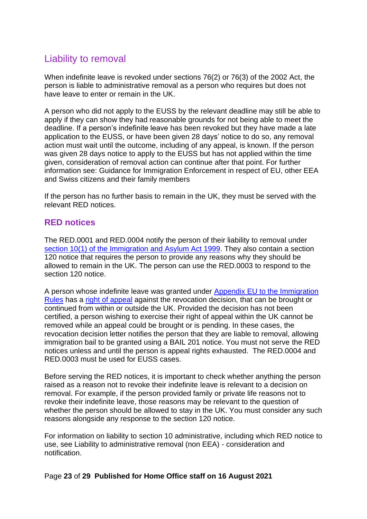## <span id="page-22-0"></span>Liability to removal

When indefinite leave is revoked under sections 76(2) or 76(3) of the 2002 Act, the person is liable to administrative removal as a person who requires but does not have leave to enter or remain in the UK.

A person who did not apply to the EUSS by the relevant deadline may still be able to apply if they can show they had reasonable grounds for not being able to meet the deadline. If a person's indefinite leave has been revoked but they have made a late application to the EUSS, or have been given 28 days' notice to do so, any removal action must wait until the outcome, including of any appeal, is known. If the person was given 28 days notice to apply to the EUSS but has not applied within the time given, consideration of removal action can continue after that point. For further information see: Guidance for Immigration Enforcement in respect of EU, other EEA and Swiss citizens and their family members

If the person has no further basis to remain in the UK, they must be served with the relevant RED notices.

#### <span id="page-22-1"></span>**RED notices**

The RED.0001 and RED.0004 notify the person of their liability to removal under [section 10\(1\) of the Immigration and Asylum Act 1999.](http://www.legislation.gov.uk/ukpga/1999/33/section/10) They also contain a section 120 notice that requires the person to provide any reasons why they should be allowed to remain in the UK. The person can use the RED.0003 to respond to the section 120 notice.

A person whose indefinite leave was granted under [Appendix EU to the Immigration](https://www.gov.uk/guidance/immigration-rules/immigration-rules-appendix-eu)  [Rules](https://www.gov.uk/guidance/immigration-rules/immigration-rules-appendix-eu) has a [right of appeal](#page-26-1) against the revocation decision, that can be brought or continued from within or outside the UK. Provided the decision has not been certified, a person wishing to exercise their right of appeal within the UK cannot be removed while an appeal could be brought or is pending. In these cases, the revocation decision letter notifies the person that they are liable to removal, allowing immigration bail to be granted using a BAIL 201 notice. You must not serve the RED notices unless and until the person is appeal rights exhausted. The RED.0004 and RED.0003 must be used for EUSS cases.

Before serving the RED notices, it is important to check whether anything the person raised as a reason not to revoke their indefinite leave is relevant to a decision on removal. For example, if the person provided family or private life reasons not to revoke their indefinite leave, those reasons may be relevant to the question of whether the person should be allowed to stay in the UK. You must consider any such reasons alongside any response to the section 120 notice.

For information on liability to section 10 administrative, including which RED notice to use, see Liability to administrative removal (non EEA) - consideration and notification.

#### Page **23** of **29 Published for Home Office staff on 16 August 2021**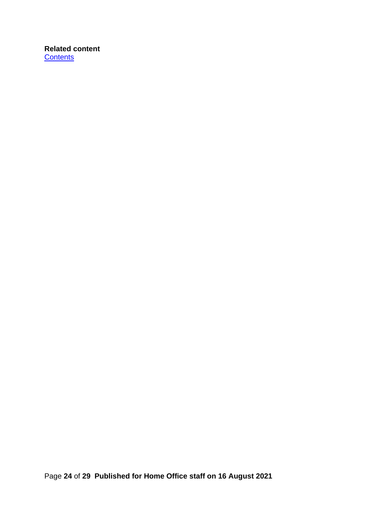#### **Related content [Contents](#page-0-0)**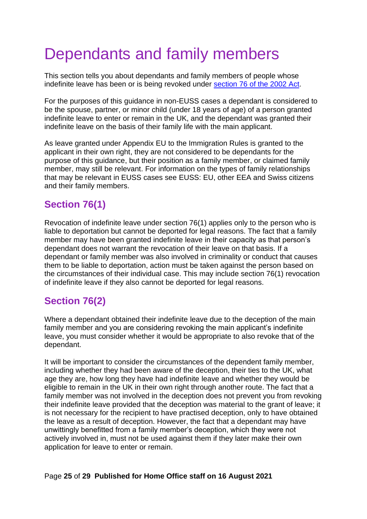# <span id="page-24-0"></span>Dependants and family members

This section tells you about dependants and family members of people whose indefinite leave has been or is being revoked under [section 76 o](http://www.legislation.gov.uk/ukpga/2002/41/section/76)f the 2002 Act.

For the purposes of this guidance in non-EUSS cases a dependant is considered to be the spouse, partner, or minor child (under 18 years of age) of a person granted indefinite leave to enter or remain in the UK, and the dependant was granted their indefinite leave on the basis of their family life with the main applicant.

As leave granted under Appendix EU to the Immigration Rules is granted to the applicant in their own right, they are not considered to be dependants for the purpose of this guidance, but their position as a family member, or claimed family member, may still be relevant. For information on the types of family relationships that may be relevant in EUSS cases see EUSS: EU, other EEA and Swiss citizens and their family members.

## <span id="page-24-1"></span>**Section 76(1)**

Revocation of indefinite leave under section 76(1) applies only to the person who is liable to deportation but cannot be deported for legal reasons. The fact that a family member may have been granted indefinite leave in their capacity as that person's dependant does not warrant the revocation of their leave on that basis. If a dependant or family member was also involved in criminality or conduct that causes them to be liable to deportation, action must be taken against the person based on the circumstances of their individual case. This may include section 76(1) revocation of indefinite leave if they also cannot be deported for legal reasons.

# <span id="page-24-2"></span>**Section 76(2)**

Where a dependant obtained their indefinite leave due to the deception of the main family member and you are considering revoking the main applicant's indefinite leave, you must consider whether it would be appropriate to also revoke that of the dependant.

It will be important to consider the circumstances of the dependent family member, including whether they had been aware of the deception, their ties to the UK, what age they are, how long they have had indefinite leave and whether they would be eligible to remain in the UK in their own right through another route. The fact that a family member was not involved in the deception does not prevent you from revoking their indefinite leave provided that the deception was material to the grant of leave; it is not necessary for the recipient to have practised deception, only to have obtained the leave as a result of deception. However, the fact that a dependant may have unwittingly benefitted from a family member's deception, which they were not actively involved in, must not be used against them if they later make their own application for leave to enter or remain.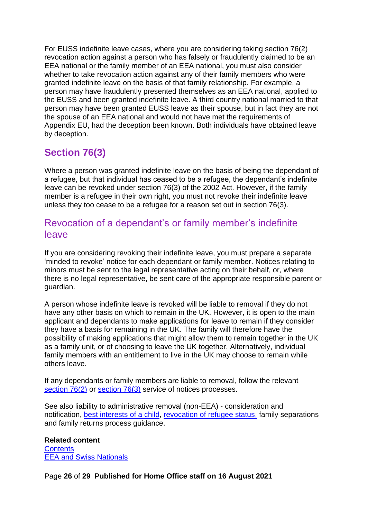For EUSS indefinite leave cases, where you are considering taking section 76(2) revocation action against a person who has falsely or fraudulently claimed to be an EEA national or the family member of an EEA national, you must also consider whether to take revocation action against any of their family members who were granted indefinite leave on the basis of that family relationship. For example, a person may have fraudulently presented themselves as an EEA national, applied to the EUSS and been granted indefinite leave. A third country national married to that person may have been granted EUSS leave as their spouse, but in fact they are not the spouse of an EEA national and would not have met the requirements of Appendix EU, had the deception been known. Both individuals have obtained leave by deception.

# <span id="page-25-0"></span>**Section 76(3)**

Where a person was granted indefinite leave on the basis of being the dependant of a refugee, but that individual has ceased to be a refugee, the dependant's indefinite leave can be revoked under section 76(3) of the 2002 Act. However, if the family member is a refugee in their own right, you must not revoke their indefinite leave unless they too cease to be a refugee for a reason set out in section 76(3).

## <span id="page-25-1"></span>Revocation of a dependant's or family member's indefinite leave

If you are considering revoking their indefinite leave, you must prepare a separate 'minded to revoke' notice for each dependant or family member. Notices relating to minors must be sent to the legal representative acting on their behalf, or, where there is no legal representative, be sent care of the appropriate responsible parent or guardian.

A person whose indefinite leave is revoked will be liable to removal if they do not have any other basis on which to remain in the UK. However, it is open to the main applicant and dependants to make applications for leave to remain if they consider they have a basis for remaining in the UK. The family will therefore have the possibility of making applications that might allow them to remain together in the UK as a family unit, or of choosing to leave the UK together. Alternatively, individual family members with an entitlement to live in the UK may choose to remain while others leave.

If any dependants or family members are liable to removal, follow the relevant [section 76\(2\)](#page-14-2) or [section 76\(3\)](#page-17-0) service of notices processes.

See also liability to administrative removal (non-EEA) - consideration and notification, [best interests of a child,](#page-4-3) [revocation of refugee status,](https://www.gov.uk/government/publications/canceling-ceasing-and-revoking-refugee-status-process) family separations and family returns process guidance.

**Related content Contents** [EEA and Swiss Nationals](https://www.gov.uk/government/collections/eea-swiss-nationals-and-ec-association-agreements-modernised-guidance)

Page **26** of **29 Published for Home Office staff on 16 August 2021**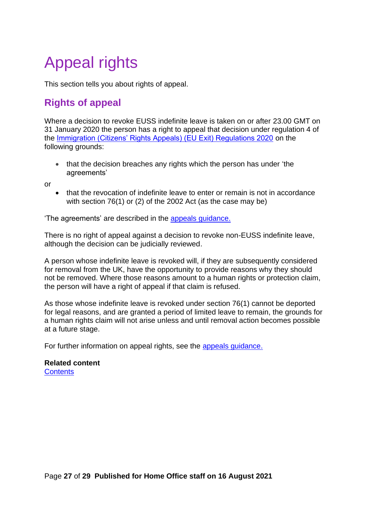# <span id="page-26-0"></span>Appeal rights

This section tells you about rights of appeal.

# <span id="page-26-1"></span>**Rights of appeal**

Where a decision to revoke EUSS indefinite leave is taken on or after 23.00 GMT on 31 January 2020 the person has a right to appeal that decision under regulation 4 of the [Immigration \(Citizens' Rights Appeals\) \(EU Exit\) Regulations 2020](http://www.legislation.gov.uk/uksi/2020/61/contents/made) on the following grounds:

• that the decision breaches any rights which the person has under 'the agreements'

or

• that the revocation of indefinite leave to enter or remain is not in accordance with section 76(1) or (2) of the 2002 Act (as the case may be)

'The agreements' are described in the [appeals guidance.](https://www.gov.uk/government/publications/appeals)

There is no right of appeal against a decision to revoke non-EUSS indefinite leave, although the decision can be judicially reviewed.

A person whose indefinite leave is revoked will, if they are subsequently considered for removal from the UK, have the opportunity to provide reasons why they should not be removed. Where those reasons amount to a human rights or protection claim, the person will have a right of appeal if that claim is refused.

As those whose indefinite leave is revoked under section 76(1) cannot be deported for legal reasons, and are granted a period of limited leave to remain, the grounds for a human rights claim will not arise unless and until removal action becomes possible at a future stage.

For further information on appeal rights, see the [appeals guidance.](https://www.gov.uk/government/publications/appeals)

#### **Related content [Contents](#page-0-0)**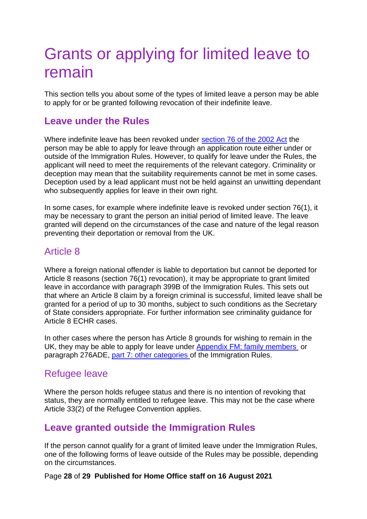# <span id="page-27-0"></span>Grants or applying for limited leave to remain

This section tells you about some of the types of limited leave a person may be able to apply for or be granted following revocation of their indefinite leave.

### <span id="page-27-1"></span>**Leave under the Rules**

Where indefinite leave has been revoked under [section 76 of the 2002 Act](http://www.legislation.gov.uk/ukpga/2002/41/section/76) the person may be able to apply for leave through an application route either under or outside of the Immigration Rules. However, to qualify for leave under the Rules, the applicant will need to meet the requirements of the relevant category. Criminality or deception may mean that the suitability requirements cannot be met in some cases. Deception used by a lead applicant must not be held against an unwitting dependant who subsequently applies for leave in their own right.

In some cases, for example where indefinite leave is revoked under section 76(1), it may be necessary to grant the person an initial period of limited leave. The leave granted will depend on the circumstances of the case and nature of the legal reason preventing their deportation or removal from the UK.

## <span id="page-27-2"></span>Article 8

Where a foreign national offender is liable to deportation but cannot be deported for Article 8 reasons (section 76(1) revocation), it may be appropriate to grant limited leave in accordance with [paragraph 3](https://www.gov.uk/guidance/immigration-rules/immigration-rules-part-13-deportation)99B of the Immigration Rules. This sets out that where an Article 8 claim by a foreign criminal is successful, limited leave shall be granted for a period of up to 30 months, subject to such conditions as the Secretary of State considers appropriate. For further information see criminality guidance for Article 8 ECHR cases.

In other cases where the person has Article 8 grounds for wishing to remain in the UK, they may be able to apply for leave under [Appendix FM: family members](https://www.gov.uk/guidance/immigration-rules/immigration-rules-appendix-fm-family-members) or paragraph 276ADE, [part 7: other categories o](https://www.gov.uk/guidance/immigration-rules/immigration-rules-part-7-other-categories)f the Immigration Rules.

## <span id="page-27-3"></span>Refugee leave

Where the person holds refugee status and there is no intention of revoking that status, they are normally entitled to refugee leave. This may not be the case where Article 33(2) of the Refugee Convention applies.

## <span id="page-27-4"></span>**Leave granted outside the Immigration Rules**

If the person cannot qualify for a grant of limited leave under the Immigration Rules, one of the following forms of leave outside of the Rules may be possible, depending on the circumstances.

#### Page **28** of **29 Published for Home Office staff on 16 August 2021**